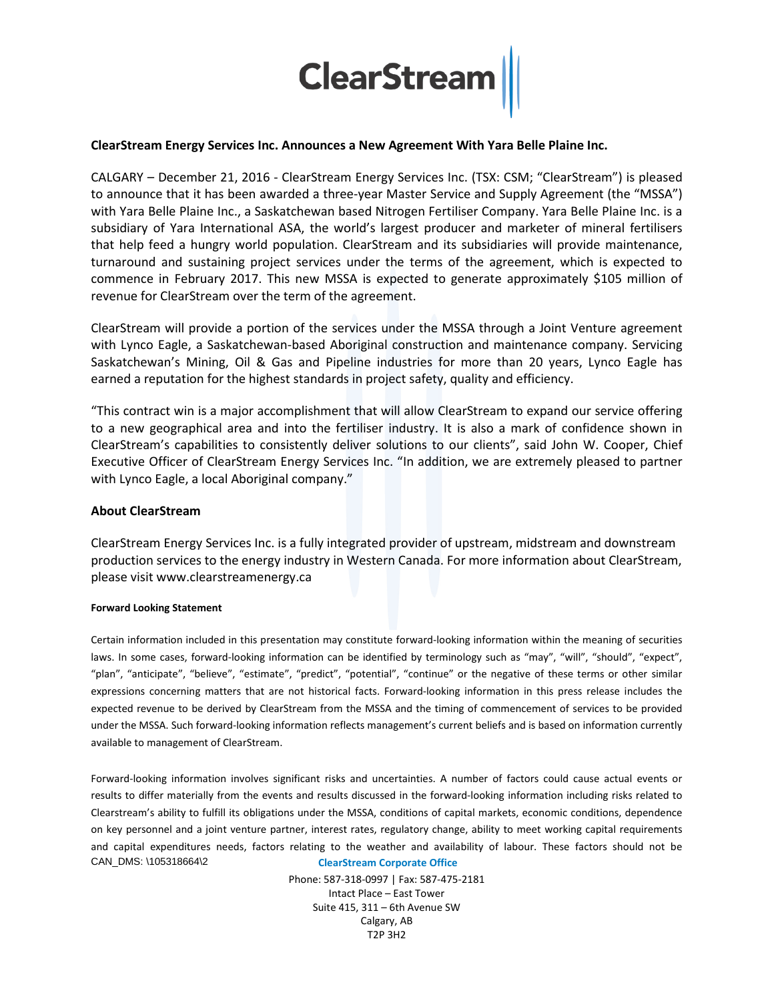

# **ClearStream Energy Services Inc. Announces a New Agreement With Yara Belle Plaine Inc.**

CALGARY – December 21, 2016 - ClearStream Energy Services Inc. (TSX: CSM; "ClearStream") is pleased to announce that it has been awarded a three-year Master Service and Supply Agreement (the "MSSA") with Yara Belle Plaine Inc., a Saskatchewan based Nitrogen Fertiliser Company. Yara Belle Plaine Inc. is a subsidiary of Yara International ASA, the world's largest producer and marketer of mineral fertilisers that help feed a hungry world population. ClearStream and its subsidiaries will provide maintenance, turnaround and sustaining project services under the terms of the agreement, which is expected to commence in February 2017. This new MSSA is expected to generate approximately \$105 million of revenue for ClearStream over the term of the agreement.

ClearStream will provide a portion of the services under the MSSA through a Joint Venture agreement with Lynco Eagle, a Saskatchewan-based Aboriginal construction and maintenance company. Servicing Saskatchewan's Mining, Oil & Gas and Pipeline industries for more than 20 years, Lynco Eagle has earned a reputation for the highest standards in project safety, quality and efficiency.

"This contract win is a major accomplishment that will allow ClearStream to expand our service offering to a new geographical area and into the fertiliser industry. It is also a mark of confidence shown in ClearStream's capabilities to consistently deliver solutions to our clients", said John W. Cooper, Chief Executive Officer of ClearStream Energy Services Inc. "In addition, we are extremely pleased to partner with Lynco Eagle, a local Aboriginal company."

## **About ClearStream**

ClearStream Energy Services Inc. is a fully integrated provider of upstream, midstream and downstream production services to the energy industry in Western Canada. For more information about ClearStream, please visit www.clearstreamenergy.ca

### **Forward Looking Statement**

Certain information included in this presentation may constitute forward-looking information within the meaning of securities laws. In some cases, forward-looking information can be identified by terminology such as "may", "will", "should", "expect", "plan", "anticipate", "believe", "estimate", "predict", "potential", "continue" or the negative of these terms or other similar expressions concerning matters that are not historical facts. Forward-looking information in this press release includes the expected revenue to be derived by ClearStream from the MSSA and the timing of commencement of services to be provided under the MSSA. Such forward-looking information reflects management's current beliefs and is based on information currently available to management of ClearStream.

**ClearStream Corporate Office** CAN\_DMS: \105318664\2 Forward-looking information involves significant risks and uncertainties. A number of factors could cause actual events or results to differ materially from the events and results discussed in the forward-looking information including risks related to Clearstream's ability to fulfill its obligations under the MSSA, conditions of capital markets, economic conditions, dependence on key personnel and a joint venture partner, interest rates, regulatory change, ability to meet working capital requirements and capital expenditures needs, factors relating to the weather and availability of labour. These factors should not be

> Phone: 587-318-0997 | Fax: 587-475-2181 Intact Place – East Tower Suite 415, 311 – 6th Avenue SW Calgary, AB T2P 3H2